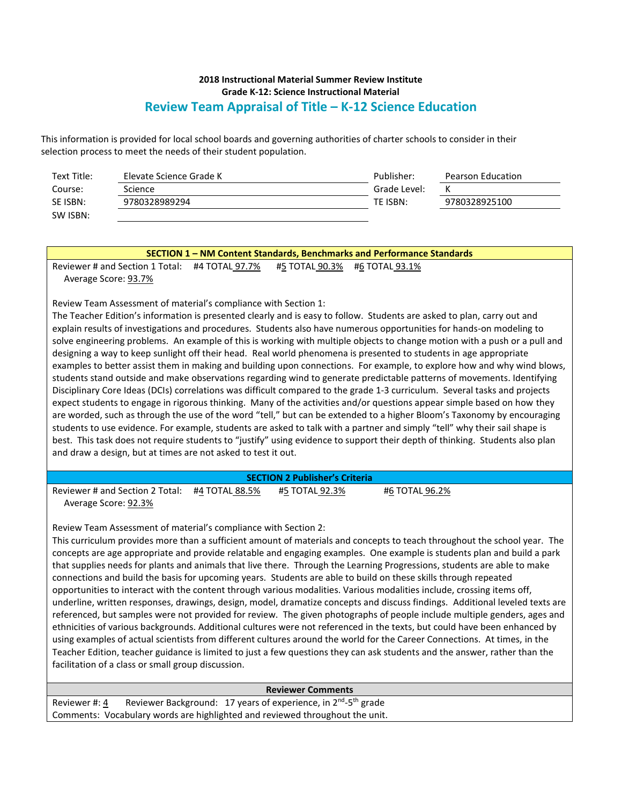This information is provided for local school boards and governing authorities of charter schools to consider in their selection process to meet the needs of their student population.

| Text Title: | Elevate Science Grade K | Publisher:   | Pearson Education |
|-------------|-------------------------|--------------|-------------------|
| Course:     | Science                 | Grade Level: |                   |
| SE ISBN:    | 9780328989294           | TE ISBN:     | 9780328925100     |
| SW ISBN:    |                         |              |                   |

| <b>SECTION 1-NM Content Standards, Benchmarks and Performance Standards</b>                                             |  |                               |  |  |
|-------------------------------------------------------------------------------------------------------------------------|--|-------------------------------|--|--|
|                                                                                                                         |  | #5 TOTAL 90.3% #6 TOTAL 93.1% |  |  |
| Average Score: 93.7%                                                                                                    |  |                               |  |  |
| Review Team Assessment of material's compliance with Section 1:                                                         |  |                               |  |  |
| The Teacher Edition's information is presented clearly and is easy to follow. Students are asked to plan, carry out and |  |                               |  |  |
| explain results of investigations and procedures. Students also have numerous opportunities for hands-on modeling to    |  |                               |  |  |

explain results of investigations and procedures. Students also have numerous opportunities for hands-on modeling to solve engineering problems. An example of this is working with multiple objects to change motion with a push or a pull and designing a way to keep sunlight off their head. Real world phenomena is presented to students in age appropriate examples to better assist them in making and building upon connections. For example, to explore how and why wind blows, students stand outside and make observations regarding wind to generate predictable patterns of movements. Identifying Disciplinary Core Ideas (DCIs) correlations was difficult compared to the grade 1-3 curriculum. Several tasks and projects expect students to engage in rigorous thinking. Many of the activities and/or questions appear simple based on how they are worded, such as through the use of the word "tell," but can be extended to a higher Bloom's Taxonomy by encouraging students to use evidence. For example, students are asked to talk with a partner and simply "tell" why their sail shape is best. This task does not require students to "justify" using evidence to support their depth of thinking. Students also plan and draw a design, but at times are not asked to test it out.

#### **SECTION 2 Publisher's Criteria** Reviewer # and Section 2 Total: #4 TOTAL 88.5% #5 TOTAL 92.3% #6 TOTAL 96.2% Average Score: 92.3%

Review Team Assessment of material's compliance with Section 2:

This curriculum provides more than a sufficient amount of materials and concepts to teach throughout the school year. The concepts are age appropriate and provide relatable and engaging examples. One example is students plan and build a park that supplies needs for plants and animals that live there. Through the Learning Progressions, students are able to make connections and build the basis for upcoming years. Students are able to build on these skills through repeated opportunities to interact with the content through various modalities. Various modalities include, crossing items off, underline, written responses, drawings, design, model, dramatize concepts and discuss findings. Additional leveled texts are referenced, but samples were not provided for review. The given photographs of people include multiple genders, ages and ethnicities of various backgrounds. Additional cultures were not referenced in the texts, but could have been enhanced by using examples of actual scientists from different cultures around the world for the Career Connections. At times, in the Teacher Edition, teacher guidance is limited to just a few questions they can ask students and the answer, rather than the facilitation of a class or small group discussion.

#### **Reviewer Comments**

Reviewer #: 4 Reviewer Background: 17 years of experience, in 2<sup>nd</sup>-5<sup>th</sup> grade Comments: Vocabulary words are highlighted and reviewed throughout the unit.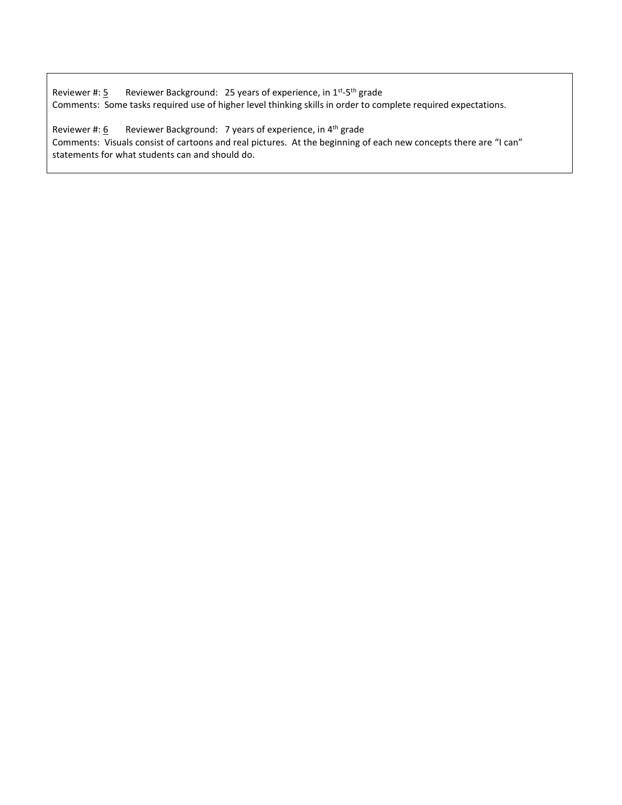Reviewer #: 5 Reviewer Background: 25 years of experience, in 1<sup>st</sup>-5<sup>th</sup> grade Comments: Some tasks required use of higher level thinking skills in order to complete required expectations.

Reviewer #:  $\underline{6}$  Reviewer Background: 7 years of experience, in 4<sup>th</sup> grade Comments: Visuals consist of cartoons and real pictures. At the beginning of each new concepts there are "I can" statements for what students can and should do.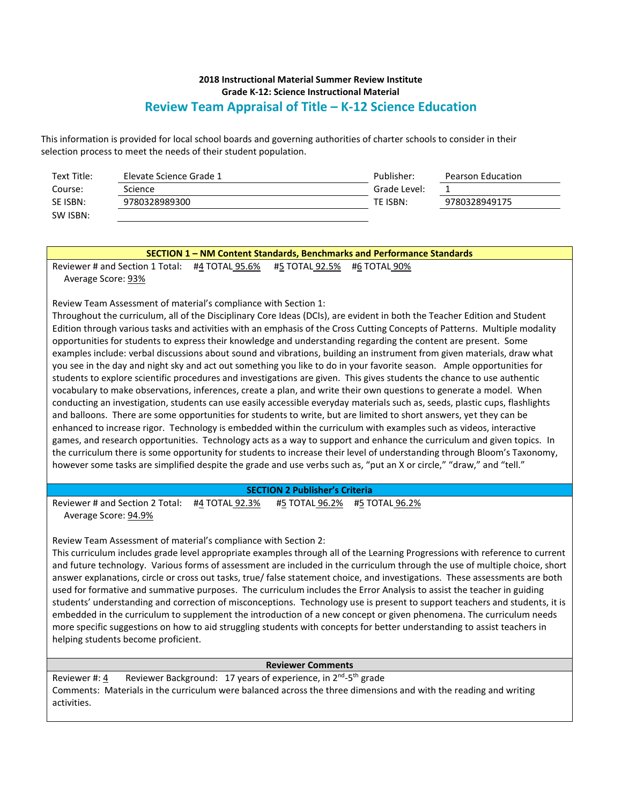This information is provided for local school boards and governing authorities of charter schools to consider in their selection process to meet the needs of their student population.

| Text Title: | Elevate Science Grade 1 | Publisher:   | Pearson Education |
|-------------|-------------------------|--------------|-------------------|
| Course:     | Science                 | Grade Level: |                   |
| SE ISBN:    | 9780328989300           | TE ISBN:     | 9780328949175     |
| SW ISBN:    |                         |              |                   |

| SECTION 1 - NM Content Standards, Benchmarks and Performance Standards                                                       |  |  |  |
|------------------------------------------------------------------------------------------------------------------------------|--|--|--|
| Reviewer # and Section 1 Total: #4 TOTAL 95.6%<br>#5 TOTAL 92.5% #6 TOTAL 90%                                                |  |  |  |
| Average Score: 93%                                                                                                           |  |  |  |
|                                                                                                                              |  |  |  |
| Review Team Assessment of material's compliance with Section 1:                                                              |  |  |  |
| Throughout the curriculum, all of the Disciplinary Core Ideas (DCIs), are evident in both the Teacher Edition and Student    |  |  |  |
| Edition through various tasks and activities with an emphasis of the Cross Cutting Concepts of Patterns. Multiple modality   |  |  |  |
| opportunities for students to express their knowledge and understanding regarding the content are present. Some              |  |  |  |
| examples include: verbal discussions about sound and vibrations, building an instrument from given materials, draw what      |  |  |  |
| you see in the day and night sky and act out something you like to do in your favorite season. Ample opportunities for       |  |  |  |
| students to explore scientific procedures and investigations are given. This gives students the chance to use authentic      |  |  |  |
| vocabulary to make observations, inferences, create a plan, and write their own questions to generate a model. When          |  |  |  |
| conducting an investigation, students can use easily accessible everyday materials such as, seeds, plastic cups, flashlights |  |  |  |
| and balloons. There are some opportunities for students to write, but are limited to short answers, yet they can be          |  |  |  |
| enhanced to increase rigor. Technology is embedded within the curriculum with examples such as videos, interactive           |  |  |  |
| games, and research opportunities. Technology acts as a way to support and enhance the curriculum and given topics. In       |  |  |  |
| the curriculum there is some opportunity for students to increase their level of understanding through Bloom's Taxonomy,     |  |  |  |
| however some tasks are simplified despite the grade and use verbs such as, "put an X or circle," "draw," and "tell."         |  |  |  |
|                                                                                                                              |  |  |  |
| <b>SECTION 2 Publisher's Criteria</b>                                                                                        |  |  |  |
| Reviewer # and Section 2 Total:<br>#4 TOTAL 92.3%<br>#5 TOTAL 96.2% #5 TOTAL 96.2%                                           |  |  |  |

Average Score: 94.9%

Review Team Assessment of material's compliance with Section 2:

This curriculum includes grade level appropriate examples through all of the Learning Progressions with reference to current and future technology. Various forms of assessment are included in the curriculum through the use of multiple choice, short answer explanations, circle or cross out tasks, true/ false statement choice, and investigations. These assessments are both used for formative and summative purposes. The curriculum includes the Error Analysis to assist the teacher in guiding students' understanding and correction of misconceptions. Technology use is present to support teachers and students, it is embedded in the curriculum to supplement the introduction of a new concept or given phenomena. The curriculum needs more specific suggestions on how to aid struggling students with concepts for better understanding to assist teachers in helping students become proficient.

#### **Reviewer Comments**

Reviewer #: 4 Reviewer Background: 17 years of experience, in 2<sup>nd</sup>-5<sup>th</sup> grade Comments: Materials in the curriculum were balanced across the three dimensions and with the reading and writing activities.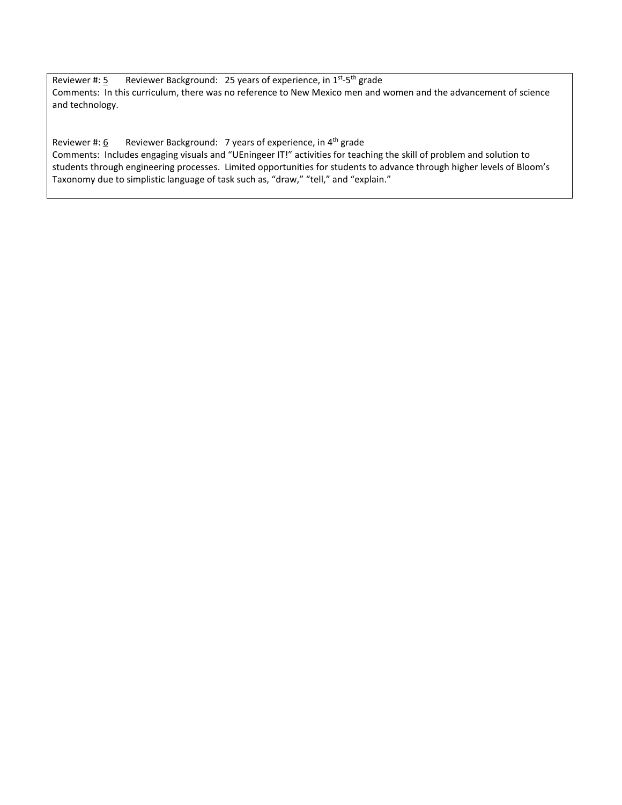Reviewer #: 5 Reviewer Background: 25 years of experience, in 1<sup>st</sup>-5<sup>th</sup> grade Comments: In this curriculum, there was no reference to New Mexico men and women and the advancement of science and technology.

Reviewer #:  $6$  Reviewer Background: 7 years of experience, in 4<sup>th</sup> grade Comments: Includes engaging visuals and "UEningeer IT!" activities for teaching the skill of problem and solution to students through engineering processes. Limited opportunities for students to advance through higher levels of Bloom's Taxonomy due to simplistic language of task such as, "draw," "tell," and "explain."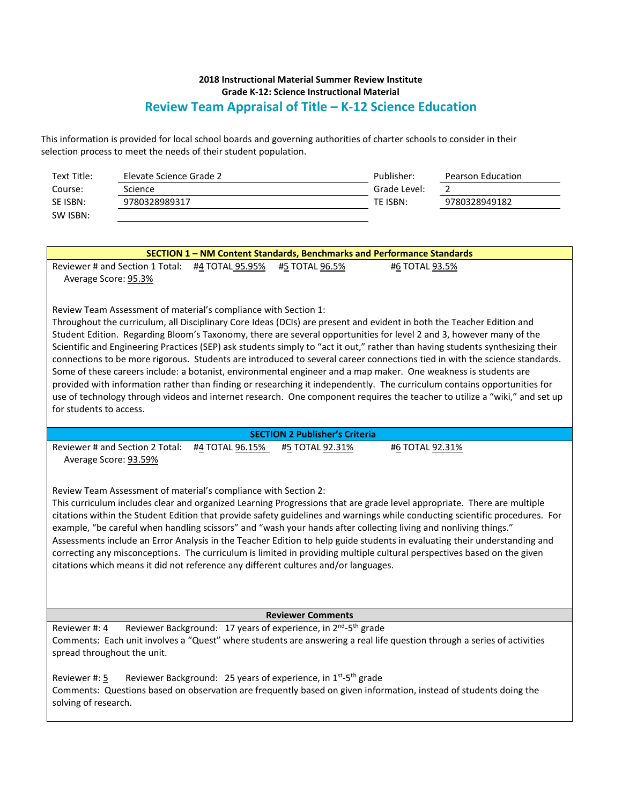This information is provided for local school boards and governing authorities of charter schools to consider in their selection process to meet the needs of their student population.

| Text Title: | Elevate Science Grade 2 | Publisher:   | Pearson Education |
|-------------|-------------------------|--------------|-------------------|
| Course:     | Science                 | Grade Level: |                   |
| SE ISBN:    | 9780328989317           | TE ISBN:     | 9780328949182     |
| SW ISBN:    |                         |              |                   |

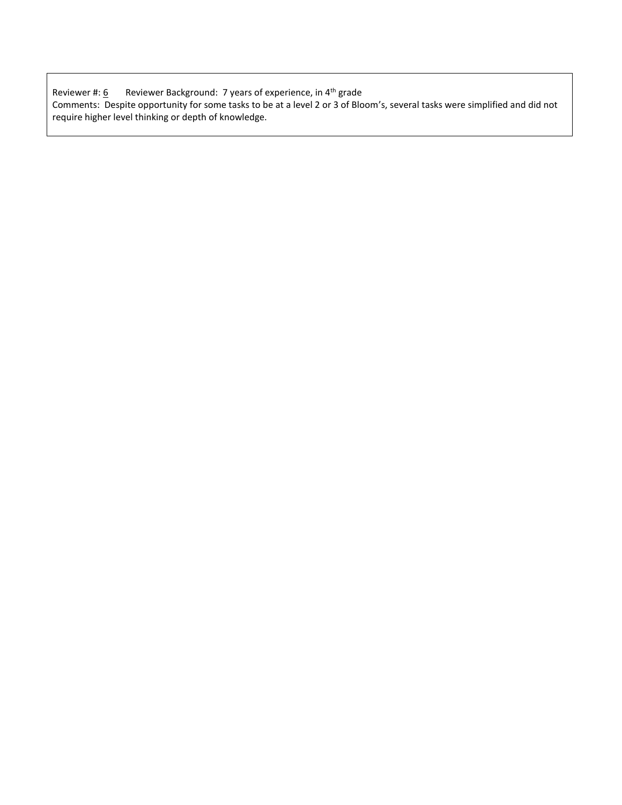| Reviewer #: 6 | Reviewer Background: 7 years of experience, in 4 <sup>th</sup> grade                                                       |
|---------------|----------------------------------------------------------------------------------------------------------------------------|
|               | Comments: Despite opportunity for some tasks to be at a level 2 or 3 of Bloom's, several tasks were simplified and did not |
|               | require higher level thinking or depth of knowledge.                                                                       |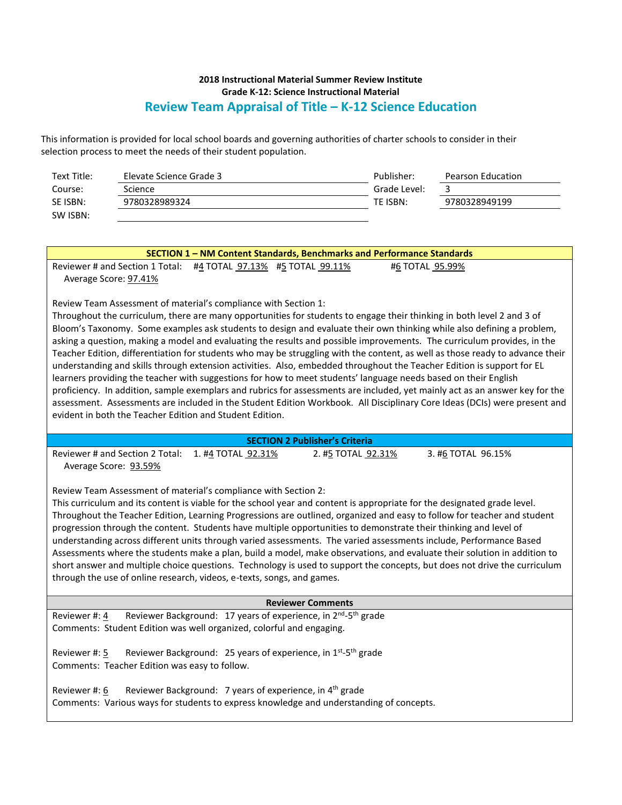This information is provided for local school boards and governing authorities of charter schools to consider in their selection process to meet the needs of their student population.

| Text Title: | Elevate Science Grade 3 | Publisher:   | Pearson Education |
|-------------|-------------------------|--------------|-------------------|
| Course:     | Science                 | Grade Level: |                   |
| SE ISBN:    | 9780328989324           | TE ISBN:     | 9780328949199     |
| SW ISBN:    |                         |              |                   |

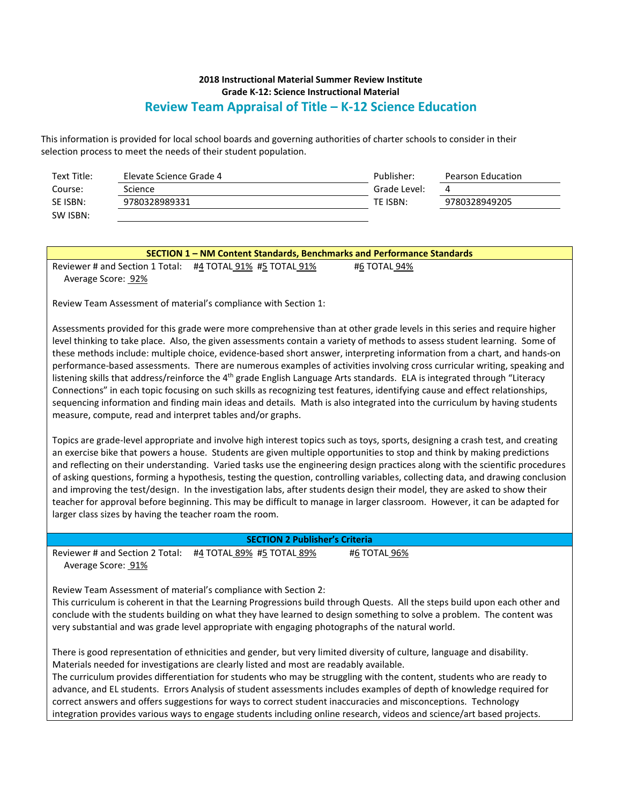This information is provided for local school boards and governing authorities of charter schools to consider in their selection process to meet the needs of their student population.

| Text Title: | Elevate Science Grade 4 | Publisher:   | Pearson Education |
|-------------|-------------------------|--------------|-------------------|
| Course:     | Science                 | Grade Level: | 4                 |
| SE ISBN:    | 9780328989331           | TE ISBN:     | 9780328949205     |
| SW ISBN:    |                         |              |                   |

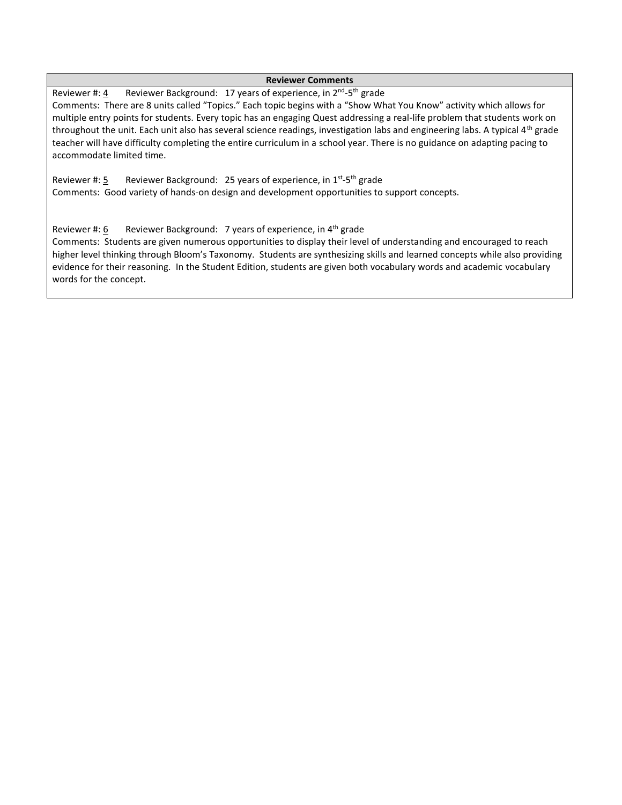#### **Reviewer Comments**

Reviewer #: 4 Reviewer Background: 17 years of experience, in 2<sup>nd</sup>-5<sup>th</sup> grade Comments: There are 8 units called "Topics." Each topic begins with a "Show What You Know" activity which allows for multiple entry points for students. Every topic has an engaging Quest addressing a real-life problem that students work on throughout the unit. Each unit also has several science readings, investigation labs and engineering labs. A typical  $4<sup>th</sup>$  grade teacher will have difficulty completing the entire curriculum in a school year. There is no guidance on adapting pacing to accommodate limited time.

Reviewer #: 5 Reviewer Background: 25 years of experience, in 1<sup>st</sup>-5<sup>th</sup> grade Comments: Good variety of hands-on design and development opportunities to support concepts.

Reviewer #: 6 Reviewer Background: 7 years of experience, in  $4<sup>th</sup>$  grade

Comments: Students are given numerous opportunities to display their level of understanding and encouraged to reach higher level thinking through Bloom's Taxonomy. Students are synthesizing skills and learned concepts while also providing evidence for their reasoning. In the Student Edition, students are given both vocabulary words and academic vocabulary words for the concept.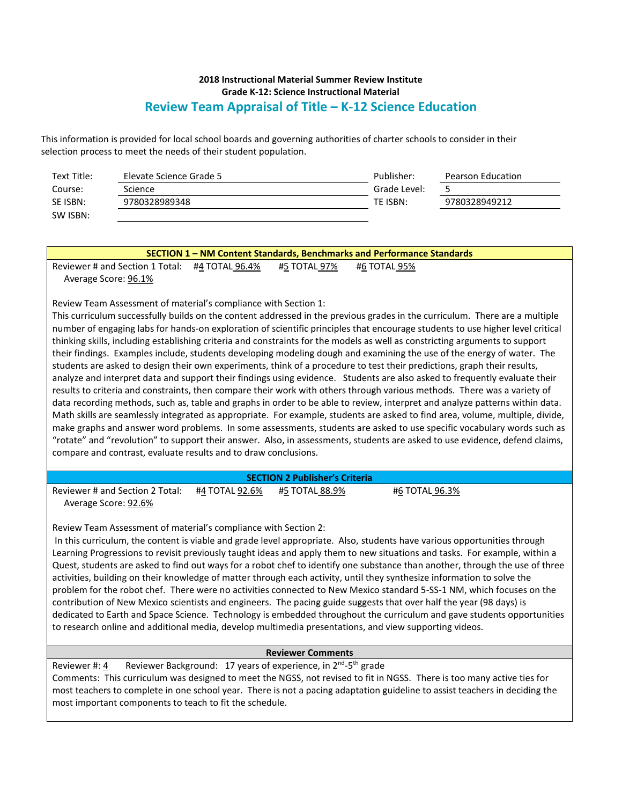This information is provided for local school boards and governing authorities of charter schools to consider in their selection process to meet the needs of their student population.

| Text Title: | Elevate Science Grade 5 | Publisher:   | Pearson Education |
|-------------|-------------------------|--------------|-------------------|
| Course:     | <b>Science</b>          | Grade Level: |                   |
| SE ISBN:    | 9780328989348           | TE ISBN:     | 9780328949212     |
| SW ISBN:    |                         |              |                   |

#### **Reviewer Comments**

Reviewer #: 4 Reviewer Background: 17 years of experience, in 2<sup>nd</sup>-5<sup>th</sup> grade

Comments: This curriculum was designed to meet the NGSS, not revised to fit in NGSS. There is too many active ties for most teachers to complete in one school year. There is not a pacing adaptation guideline to assist teachers in deciding the most important components to teach to fit the schedule.